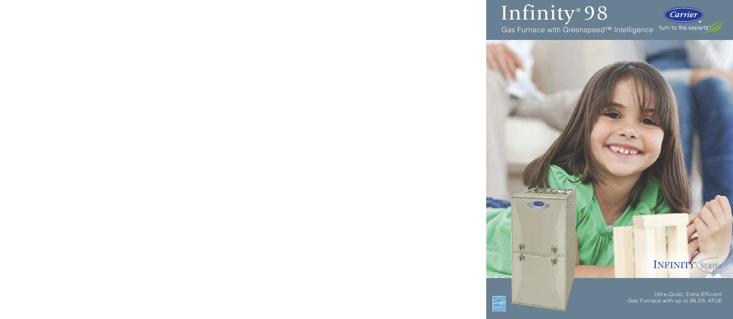# Infinity®98

國

Gas Furnace with Greenspeed™ Intelligence



# INFINITY® SERIES

Ultra-Quiet, Extra-Efficient Gas Furnace with up to 98.5% AFUE

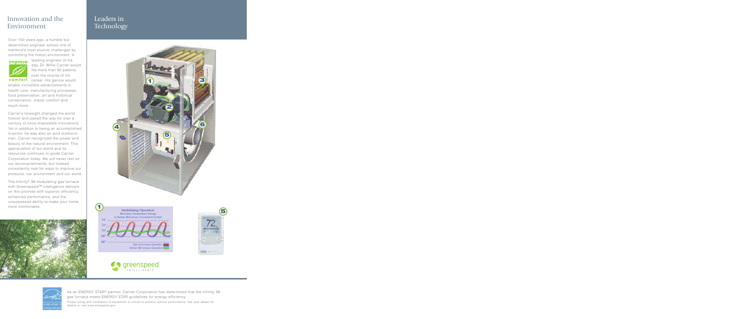# Innovation and the Environment

Over 100 years ago, a humble but determined engineer solved one of mankind's most elusive challenges by controlling the indoor environment. A



leading engineer of his day, Dr. Willis Carrier would file more than 80 patents over the course of his

comfort career. His genius would enable incredible advancements in health care, manufacturing processes, food preservation, art and historical conservation, indoor comfort and much more.

Carrier's foresight changed the world forever and paved the way for over a century of once-impossible innovations. Yet in addition to being an accomplished inventor, he was also an avid outdoorsman. Carrier recognized the power and beauty of the natural environment. This appreciation of our world and its resources continues to guide Carrier Corporation today. We will never rest on our accomplishments, but instead consistently look for ways to improve our products, our environment and our world.

The Infinity® 98 modulating gas furnace with Greenspeed™ intelligence delivers on this promise with superior efficiency, enhanced performance, and the unsurpassed ability to make your home more comfortable.



# Leaders in Technology





details or visit www.energystar.gov.

As an ENERGY STAR® partner, Carrier Corporation has determined that the Infinity 98 gas furnace meets ENERGY STAR guidelines for energy efficiency. Proper sizing and installation of equipment is critical to achieve optimal performance. Ask your dealer for

INTELLIGENCE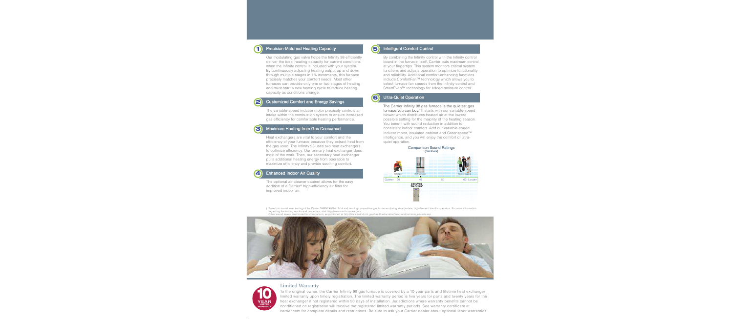

#### Precision-Matched Heating Capacity

Our modulating gas valve helps the Infinity 98 efficiently deliver the ideal heating capacity for current conditions when the Infinity control is included with your system. By continuously adjusting heating output up and down through multiple stages in 1% increments, this furnace precisely matches your comfort needs. Most other furnaces can provide only one or two stages of heating and must start a new heating cycle to reduce heating capacity as conditions change.



3

#### Customized Comfort and Energy Savings

The variable-speed inducer motor precisely controls air intake within the combustion system to ensure increased gas efficiency for comfortable heating performance.

#### Maximum Heating from Gas Consumed

Heat exchangers are vital to your comfort and the efficiency of your furnace because they extract heat from the gas used. The Infinity 98 uses two heat exchangers to optimize efficiency. Our primary heat exchanger does most of the work. Then, our secondary heat exchanger pulls additional heating energy from operation to maximize efficiency and provide soothing comfort.

#### **Enhanced Indoor Air Quality**

The optional air cleaner cabinet allows for the easy addition of a Carrier® high-efficiency air filter for improved indoor air.



6

#### Intelligent Comfort Control

By combining the Infinity control with the Infinity control board in the furnace itself, Carrier puts maximum control at your fingertips. This system monitors critical system functions and adjusts operation to optimize functionality and reliability. Additional comfort-enhancing functions include ComfortFan™ technology which allows you to select furnace fan speeds from the Infinity control and SmartEvap™ technology for added moisture control.

#### Ultra-Quiet Operation

The Carrier Infinity 98 gas furnace is the quietest gas furnace you can buy. † It starts with our variable-speed blower which distributes heated air at the lowest possible setting for the majority of the heating season. You benefit with sound reduction in addition to consistent indoor comfort. Add our variable-speed inducer motor, insulated cabinet and Greenspeed™ intelligence, and you will enjoy the comfort of ultraquiet operation.



- † Based on sound level testing of the Carrier 59MN7A060V17-14 and leading competitive gas furnaces during steady-state, high-fire and low-fire operation. For more information regarding the testing results and procedure, visit http://www.cacfurnaces.com.
- Other sound levels, mentioned for comparison, as published at http://www.nidcd.nih.gov/health/education/teachers/common\_sounds.asp





#### Limited Warranty

To the original owner, the Carrier Infinity 98 gas furnace is covered by a 10-year parts and lifetime heat exchanger limited warranty upon timely registration. The limited warranty period is five years for parts and twenty years for the heat exchanger if not registered within 90 days of installation. Jurisdictions where warranty benefits cannot be conditioned on registration will receive the registered limited warranty periods. See warranty certificate at carrier.com for complete details and restrictions. Be sure to ask your Carrier dealer about optional labor warranties.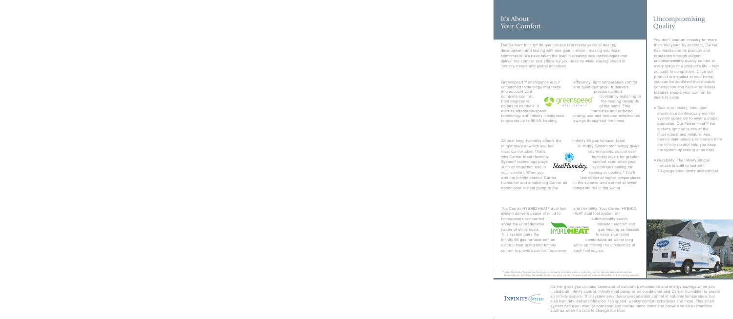# It's About **Your Comfort**

The Carrier<sup>®</sup> Infinity<sup>®</sup> 98 gas furnace represents years of design, development and testing with one goal in mind - making you more comfortable. We have taken the lead in creating new technologies that deliver the comfort and efficiency you deserve while staying ahead of industry trends and global initiatives.

Greenspeed™ intelligence is our unmatched technology that takes into account your

complete comfort, from degrees to dollars to decibels. It

marries adaptable-speed technology with Infinity intelligence

to provide up to 98.5% heating

All year long, humidity affects the temperature at which you feel most comfortable. That's why Carrier Ideal Humidity System<sup>®</sup> technology plays such an important role in your comfort. When you add the Infinity control, Carrier humidifier and a matching Carrier air conditioner or heat pump to the

The Carrier HYBRID HEAT<sup>®</sup> dual fuel system delivers peace of mind to

homeowners concerned about the unpredictable nature of utility costs. This system pairs the Infinity 98 gas furnace with an electric heat pump and Infinity control to provide comfort, economy efficiency, tight temperature control and quiet operation. It delivers precise comfort,

> constantly matching to the heating demands of the home. This

translates into reduced energy use and reduced temperature swings throughout the home.

Infinity 98 gas furnace, Ideal Humidity System technology gives you enhanced control over humidity levels for greater comfort even when your system isn't calling for heating or cooling.\* You'll

feel cooler at higher temperatures in the summer and warmer at lower temperatures in the winter.

and flexibility. Your Carrier HYBRID HEAT dual fuel system will

Thinks. Heats. Saves. HYBRID**HEAT** 

automatically switch between electric and gas heating as needed to keep your home comfortable all winter long

while optimizing the efficiencies of each fuel source.

# Uncompromising **Quality**

You don't lead an industry for more than 100 years by accident. Carrier has maintained its position and reputation through diligent. uncompromising quality control at every stage of a product's life - from concept to completion. Once our product is installed at your home, you can be confident that durable construction and built-in reliability features ensure your comfort for years to come.

- Built-in reliability: Intelligent electronics continuously monitor system operation to ensure proper operation. Our Power Heat™ hot surface ignition is one of the most robust and reliable. And. routine maintenance reminders from the Infinity control help you keep the system operating at its best.
- Durability: The Infinity 98 gas furnace is built to last with 20-gauge steel doors and cabinet.



\*Ideal Humidity System technology continually monitors indoor humidity, indoor temperature and outdoor<br>temperature, and has the ability to turn on your comfort system just for dehumidification in the cooling season.



Carrier gives you ultimate command of comfort, performance and energy savings when you include an Infinity control, Infinity heat pump or air conditioner and Carrier humidifier to create an Infinity system. This system provides unprecedented control of not only temperature, but also humidity, dehumidification, fan speed, weekly comfort schedules and more. This smart system can even monitor operation and maintenance items and provide service reminders such as when it's time to change the filter.

IdealHumidity

areenspeec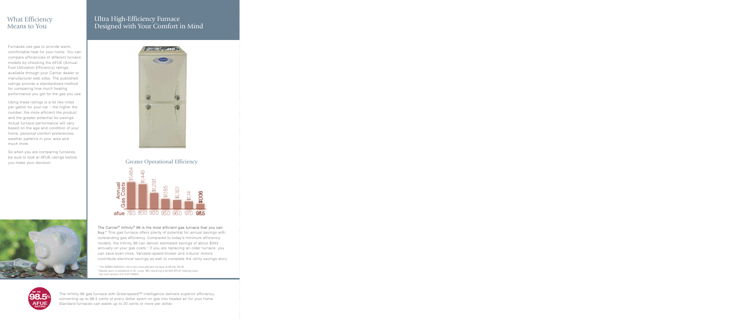# **What Efficiency** Means to You

Furnaces use gas to provide warm, comfortable heat for your home. You can compare efficiencies of different furnace models by checking the AFUE (Annual Fuel Utilization Efficiency) ratings, available through your Carrier dealer or manufacturer web sites. The published ratings provide a standardized method for comparing how much heating performance you get for the gas you use.

Using these ratings is a lot like miles per gallon for your car – the higher the number, the more efficient the product and the greater potential for savings. Actual furnace performance will vary based on the age and condition of your home, personal comfort preferences, weather patterns in your area and much more.

So when you are comparing furnaces, be sure to look at AFUE ratings before you make your decision.



# Ultra High-Efficiency Furnace Designed with Your Comfort in Mind



**Greater Operational Efficiency** 



The Carrier® Infinity® 98 is the most efficient gas furnace that you can buy.\* This gas furnace offers plenty of potential for annual savings with outstanding gas efficiency. Compared to today's minimum efficiency models, the Infinity 98 can deliver estimated savings of about \$343 annually on your gas costs.<sup>†</sup> If you are replacing an older furnace, you can save even more. Variable-speed blower and inducer motors contribute electrical savings as well to complete the utility savings story.

\* The 59MN7A060V21--20 is the most efficient furnace at 98.5% AFUE

- <sup>†</sup> Based upon a residence in St. Louis, MO requiring a 50,000 BTUH heating load.
- Op cost version 3.0.4107.22653.



The Infinity 98 gas furnace with Greenspeed™ intelligence delivers superior efficiency, converting up to 98.5 cents of every dollar spent on gas into heated air for your home. Standard furnaces can waste up to 20 cents or more per dollar.